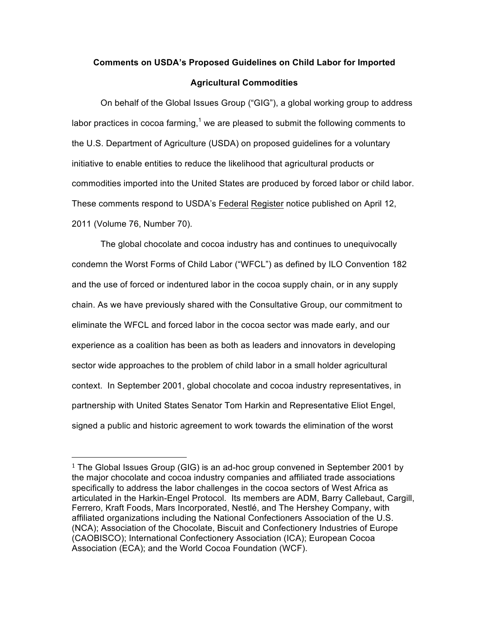## **Comments on USDA's Proposed Guidelines on Child Labor for Imported Agricultural Commodities**

On behalf of the Global Issues Group ("GIG"), a global working group to address labor practices in cocoa farming,<sup>1</sup> we are pleased to submit the following comments to the U.S. Department of Agriculture (USDA) on proposed guidelines for a voluntary initiative to enable entities to reduce the likelihood that agricultural products or commodities imported into the United States are produced by forced labor or child labor. These comments respond to USDA's Federal Register notice published on April 12, 2011 (Volume 76, Number 70).

The global chocolate and cocoa industry has and continues to unequivocally condemn the Worst Forms of Child Labor ("WFCL") as defined by ILO Convention 182 and the use of forced or indentured labor in the cocoa supply chain, or in any supply chain. As we have previously shared with the Consultative Group, our commitment to eliminate the WFCL and forced labor in the cocoa sector was made early, and our experience as a coalition has been as both as leaders and innovators in developing sector wide approaches to the problem of child labor in a small holder agricultural context. In September 2001, global chocolate and cocoa industry representatives, in partnership with United States Senator Tom Harkin and Representative Eliot Engel, signed a public and historic agreement to work towards the elimination of the worst

!!!!!!!!!!!!!!!!!!!!!!!!!!!!!!!!!!!!!!!!!!!!!!!!!!!!!!!

<sup>&</sup>lt;sup>1</sup> The Global Issues Group (GIG) is an ad-hoc group convened in September 2001 by the major chocolate and cocoa industry companies and affiliated trade associations specifically to address the labor challenges in the cocoa sectors of West Africa as articulated in the Harkin-Engel Protocol. Its members are ADM, Barry Callebaut, Cargill, Ferrero, Kraft Foods, Mars Incorporated, Nestlé, and The Hershey Company, with affiliated organizations including the National Confectioners Association of the U.S. (NCA); Association of the Chocolate, Biscuit and Confectionery Industries of Europe (CAOBISCO); International Confectionery Association (ICA); European Cocoa Association (ECA); and the World Cocoa Foundation (WCF).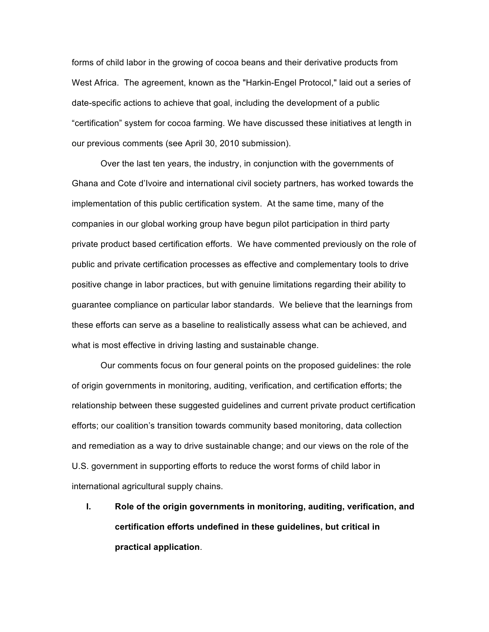forms of child labor in the growing of cocoa beans and their derivative products from West Africa. The agreement, known as the "Harkin-Engel Protocol," laid out a series of date-specific actions to achieve that goal, including the development of a public "certification" system for cocoa farming. We have discussed these initiatives at length in our previous comments (see April 30, 2010 submission).

Over the last ten years, the industry, in conjunction with the governments of Ghana and Cote d'Ivoire and international civil society partners, has worked towards the implementation of this public certification system. At the same time, many of the companies in our global working group have begun pilot participation in third party private product based certification efforts. We have commented previously on the role of public and private certification processes as effective and complementary tools to drive positive change in labor practices, but with genuine limitations regarding their ability to guarantee compliance on particular labor standards. We believe that the learnings from these efforts can serve as a baseline to realistically assess what can be achieved, and what is most effective in driving lasting and sustainable change.

Our comments focus on four general points on the proposed guidelines: the role of origin governments in monitoring, auditing, verification, and certification efforts; the relationship between these suggested guidelines and current private product certification efforts; our coalition's transition towards community based monitoring, data collection and remediation as a way to drive sustainable change; and our views on the role of the U.S. government in supporting efforts to reduce the worst forms of child labor in international agricultural supply chains.

**I. Role of the origin governments in monitoring, auditing, verification, and certification efforts undefined in these guidelines, but critical in practical application**.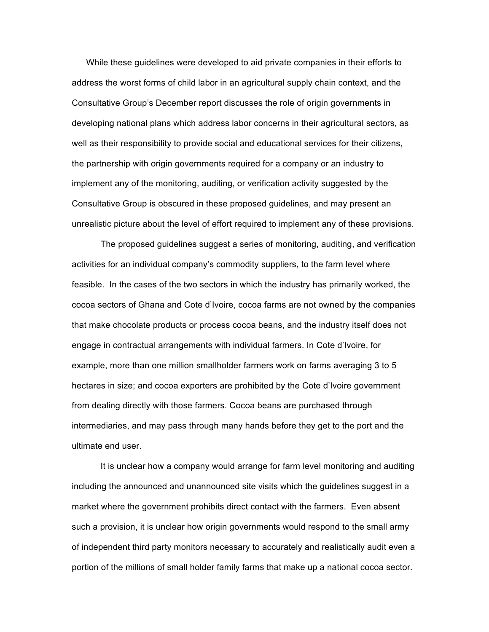While these guidelines were developed to aid private companies in their efforts to address the worst forms of child labor in an agricultural supply chain context, and the Consultative Group's December report discusses the role of origin governments in developing national plans which address labor concerns in their agricultural sectors, as well as their responsibility to provide social and educational services for their citizens, the partnership with origin governments required for a company or an industry to implement any of the monitoring, auditing, or verification activity suggested by the Consultative Group is obscured in these proposed guidelines, and may present an unrealistic picture about the level of effort required to implement any of these provisions.

The proposed guidelines suggest a series of monitoring, auditing, and verification activities for an individual company's commodity suppliers, to the farm level where feasible. In the cases of the two sectors in which the industry has primarily worked, the cocoa sectors of Ghana and Cote d'Ivoire, cocoa farms are not owned by the companies that make chocolate products or process cocoa beans, and the industry itself does not engage in contractual arrangements with individual farmers. In Cote d'Ivoire, for example, more than one million smallholder farmers work on farms averaging 3 to 5 hectares in size; and cocoa exporters are prohibited by the Cote d'Ivoire government from dealing directly with those farmers. Cocoa beans are purchased through intermediaries, and may pass through many hands before they get to the port and the ultimate end user.

It is unclear how a company would arrange for farm level monitoring and auditing including the announced and unannounced site visits which the guidelines suggest in a market where the government prohibits direct contact with the farmers. Even absent such a provision, it is unclear how origin governments would respond to the small army of independent third party monitors necessary to accurately and realistically audit even a portion of the millions of small holder family farms that make up a national cocoa sector.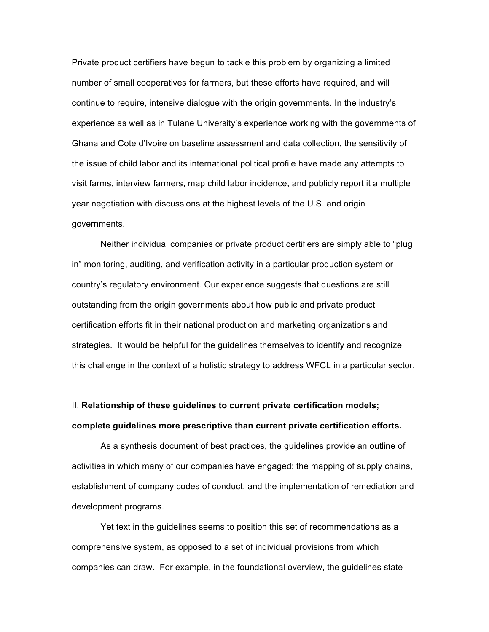Private product certifiers have begun to tackle this problem by organizing a limited number of small cooperatives for farmers, but these efforts have required, and will continue to require, intensive dialogue with the origin governments. In the industry's experience as well as in Tulane University's experience working with the governments of Ghana and Cote d'Ivoire on baseline assessment and data collection, the sensitivity of the issue of child labor and its international political profile have made any attempts to visit farms, interview farmers, map child labor incidence, and publicly report it a multiple year negotiation with discussions at the highest levels of the U.S. and origin governments.

Neither individual companies or private product certifiers are simply able to "plug in" monitoring, auditing, and verification activity in a particular production system or country's regulatory environment. Our experience suggests that questions are still outstanding from the origin governments about how public and private product certification efforts fit in their national production and marketing organizations and strategies. It would be helpful for the guidelines themselves to identify and recognize this challenge in the context of a holistic strategy to address WFCL in a particular sector.

## II. **Relationship of these guidelines to current private certification models; complete guidelines more prescriptive than current private certification efforts.**

As a synthesis document of best practices, the guidelines provide an outline of activities in which many of our companies have engaged: the mapping of supply chains, establishment of company codes of conduct, and the implementation of remediation and development programs.

Yet text in the guidelines seems to position this set of recommendations as a comprehensive system, as opposed to a set of individual provisions from which companies can draw. For example, in the foundational overview, the guidelines state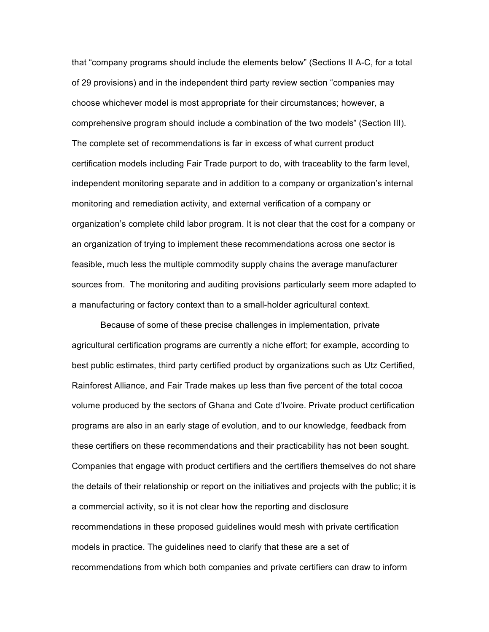that "company programs should include the elements below" (Sections II A-C, for a total of 29 provisions) and in the independent third party review section "companies may choose whichever model is most appropriate for their circumstances; however, a comprehensive program should include a combination of the two models" (Section III). The complete set of recommendations is far in excess of what current product certification models including Fair Trade purport to do, with traceablity to the farm level, independent monitoring separate and in addition to a company or organization's internal monitoring and remediation activity, and external verification of a company or organization's complete child labor program. It is not clear that the cost for a company or an organization of trying to implement these recommendations across one sector is feasible, much less the multiple commodity supply chains the average manufacturer sources from. The monitoring and auditing provisions particularly seem more adapted to a manufacturing or factory context than to a small-holder agricultural context.

Because of some of these precise challenges in implementation, private agricultural certification programs are currently a niche effort; for example, according to best public estimates, third party certified product by organizations such as Utz Certified, Rainforest Alliance, and Fair Trade makes up less than five percent of the total cocoa volume produced by the sectors of Ghana and Cote d'Ivoire. Private product certification programs are also in an early stage of evolution, and to our knowledge, feedback from these certifiers on these recommendations and their practicability has not been sought. Companies that engage with product certifiers and the certifiers themselves do not share the details of their relationship or report on the initiatives and projects with the public; it is a commercial activity, so it is not clear how the reporting and disclosure recommendations in these proposed guidelines would mesh with private certification models in practice. The guidelines need to clarify that these are a set of recommendations from which both companies and private certifiers can draw to inform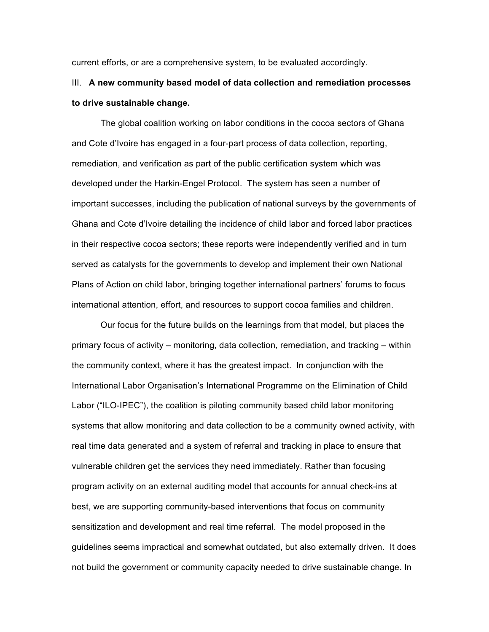current efforts, or are a comprehensive system, to be evaluated accordingly.

## III. **A new community based model of data collection and remediation processes to drive sustainable change.**

The global coalition working on labor conditions in the cocoa sectors of Ghana and Cote d'Ivoire has engaged in a four-part process of data collection, reporting, remediation, and verification as part of the public certification system which was developed under the Harkin-Engel Protocol. The system has seen a number of important successes, including the publication of national surveys by the governments of Ghana and Cote d'Ivoire detailing the incidence of child labor and forced labor practices in their respective cocoa sectors; these reports were independently verified and in turn served as catalysts for the governments to develop and implement their own National Plans of Action on child labor, bringing together international partners' forums to focus international attention, effort, and resources to support cocoa families and children.

Our focus for the future builds on the learnings from that model, but places the primary focus of activity – monitoring, data collection, remediation, and tracking – within the community context, where it has the greatest impact. In conjunction with the International Labor Organisation's International Programme on the Elimination of Child Labor ("ILO-IPEC"), the coalition is piloting community based child labor monitoring systems that allow monitoring and data collection to be a community owned activity, with real time data generated and a system of referral and tracking in place to ensure that vulnerable children get the services they need immediately. Rather than focusing program activity on an external auditing model that accounts for annual check-ins at best, we are supporting community-based interventions that focus on community sensitization and development and real time referral. The model proposed in the guidelines seems impractical and somewhat outdated, but also externally driven. It does not build the government or community capacity needed to drive sustainable change. In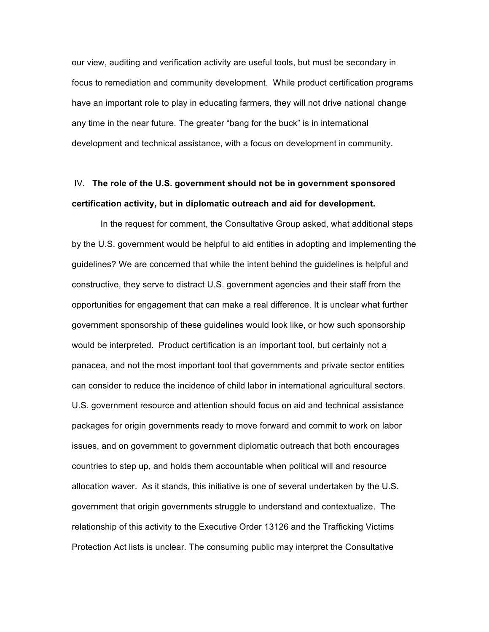our view, auditing and verification activity are useful tools, but must be secondary in focus to remediation and community development. While product certification programs have an important role to play in educating farmers, they will not drive national change any time in the near future. The greater "bang for the buck" is in international development and technical assistance, with a focus on development in community.

## IV**. The role of the U.S. government should not be in government sponsored certification activity, but in diplomatic outreach and aid for development.**

In the request for comment, the Consultative Group asked, what additional steps by the U.S. government would be helpful to aid entities in adopting and implementing the guidelines? We are concerned that while the intent behind the guidelines is helpful and constructive, they serve to distract U.S. government agencies and their staff from the opportunities for engagement that can make a real difference. It is unclear what further government sponsorship of these guidelines would look like, or how such sponsorship would be interpreted. Product certification is an important tool, but certainly not a panacea, and not the most important tool that governments and private sector entities can consider to reduce the incidence of child labor in international agricultural sectors. U.S. government resource and attention should focus on aid and technical assistance packages for origin governments ready to move forward and commit to work on labor issues, and on government to government diplomatic outreach that both encourages countries to step up, and holds them accountable when political will and resource allocation waver. As it stands, this initiative is one of several undertaken by the U.S. government that origin governments struggle to understand and contextualize. The relationship of this activity to the Executive Order 13126 and the Trafficking Victims Protection Act lists is unclear. The consuming public may interpret the Consultative